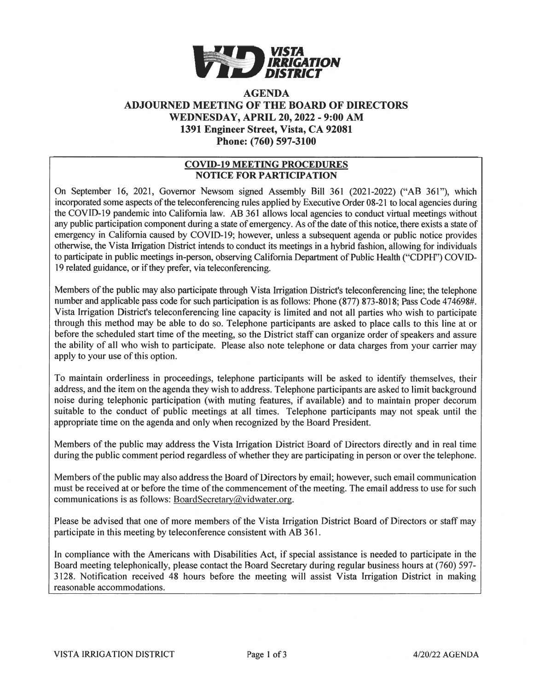

# AGENDA ADJOURNED MEETING OF THE BOARD OF DIRECTORS WEDNESDAY, APRIL 20, 2022 - 9:00 AM 1391 Engineer Street, Vista, CA 92081 Phone: (760) 597-3100

## COVID-19 MEETING PROCEDURES NOTICE FOR PARTICIPATION

On September 16, 2021, Governor Newsom signed Assembly Bill 361 (2021-2022) ("AB 361"), which incorporated some aspects of the teleconferencing rules applied by Executive Order 08-21 to local agencies during the COVID-19 pandemic into California law. AB 361 allows local agencies to conduct virtual meetings without any public participation component during a state of emergency. As of the date of this notice, there exists a state of emergency in California caused by COVID-19; however, unless <sup>a</sup> subsequent agenda or public notice provides otherwise, the Vista Irrigation District intends to conduct its meetings in <sup>a</sup> hybrid fashion, allowing for individuals to participate in public meetings in-person, observing California Department of Public Health ("CDPH") COVID 19 related guidance, or if they prefer, via teleconferencing.

Members of the public may also participate through Vista Irrigation District's teleconferencing line; the telephone number and applicable pass code for such participation is as follows: Phone (877) 873-8018; Pass Code 474698#. Vista Irrigation District's teleconferencing line capacity is limited and not all parties who wish to participate through this method may be able to do so. Telephone participants are asked to <sup>p</sup>lace calls to this line at or before the scheduled start time of the meeting, so the District staff can organize order of speakers and assure the ability of all who wish to participate. Please also note telephone or data charges from your carrier may apply to your use of this option.

To maintain orderliness in proceedings, telephone participants will be asked to identify themselves, their address, and the item on the agenda they wish to address. Telephone participants are asked to limit background noise during telephonic participation (with muting features, if available) and to maintain proper decorum suitable to the conduct of public meetings at all times. Telephone participants may not speak until the appropriate time on the agenda and only when recognized by the Board President.

Members of the public may address the Vista Irrigation District Board of Directors directly and in real time during the public comment period regardless of whether they are participating in person or over the telephone.

Members of the public may also address the Board of Directors by email; however, such email communication must be received at or before the time of the commencement of the meeting. The email address to use for such communications is as follows: BoardSecretary@vidwater.org.

Please be advised that one of more members of the Vista Irrigation District Board of Directors or staff may participate in this meeting by teleconference consistent with AB 361.

In compliance with the Americans with Disabilities Act, if special assistance is needed to participate in the Board meeting telephonically, please contact the Board Secretary during regular business hours at (760) 597- 3 128. Notification received 48 hours before the meeting will assist Vista Irrigation District in making reasonable accommodations.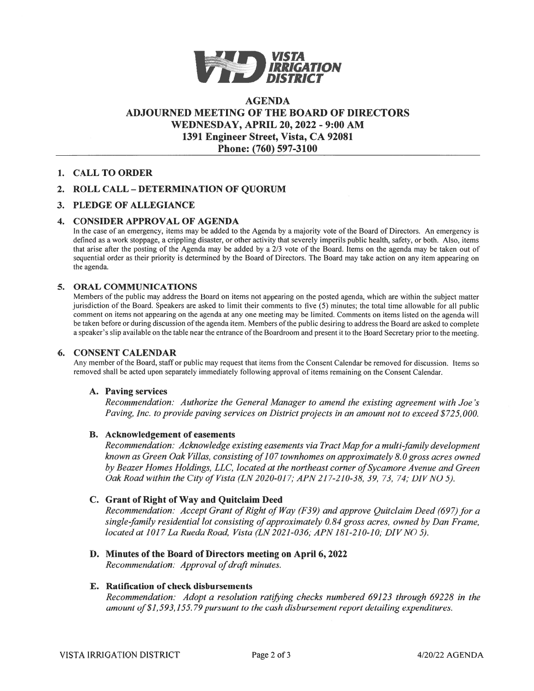

# AGENDAADJOURNED MEETING OF THE BOARD OF DIRECTORS WEDNESDAY, APRIL 20, 2022 - 9:00 AM 1391 Engineer Street, Vista, CA 92081 Phone: (760) 597-3100

## 1. CALL TO ORDER

## 2. ROLL CALL -DETERMINATION OF QUORUM

#### 3. PLEDGE OF ALLEGIANCE

#### 4. CONSIDER APPROVAL OF AGENDA

In the case of an emergency, items may be added to the Agenda by a majority vote of the Board of Directors. An emergency is defined as <sup>a</sup> work stoppage, <sup>a</sup> crippling disaster, or other activity that severely imperils public health, safety, or both. Also, items that arise after the posting of the Agenda may be added by <sup>a</sup> 2/3 vote of the Board. Items on the agenda may be taken out of sequential order as their priority is determined by the Board of Directors. The Board may take action on any item appearing on the agenda.

#### 5. ORAL COMMUNICATIONS

Members ofthe public may address the Board on items not appearing on the posted agenda. which are within the subject matter jurisdiction of the Board. Speakers are asked to limit their comments to five (5) minutes; the total time allowable for all public comment on items not appearing on the agenda at any one meeting may be limited. Comments on items listed on the agenda will be taken before or during discussion ofthe agenda item. Members ofthe public desiring to address the Board are asked to complete a speaker's slip available on the table near the entrance ofthe Boardroom and presen<sup>t</sup> it to the Board Secretary prior to the meeting.

#### 6. CONSENT CALENDAR

Any member ofthe Board, staffor public may reques<sup>t</sup> that items from the Consent Calendar be removed for discussion. Items so removed shall be acted upon separately immediately following approval of items remaining on the Consent Calendar.

#### A. Paving services

Recommendation: Authorize the General Manager to amend the existing agreemen<sup>t</sup> with Joe 's Paving, Inc. to provide paving services on District projects in an amount not to exceed \$725,000.

### B. Acknowledgement of easements

Recommendation. Acknowledge existing easements via Tract Mapfor <sup>a</sup> multi-family development known as Green Oak Villas, consisting of 107 townhomes on approximately 8.0 gross acres owned by Beazer Homes Holdings, LLC, located at the northeast corner of Sycamore Avenue and Green Oak Road within the City of Vista (LN 2020-017; APN 217-210-38, 39, 73, 74; DIV NO 5)

## C. Grant of Right of Way and Quitclaim Deed

Recommendation: Accept Grant of Right of Way (F39) and approve Quitclaim Deed (697) for a single-family residential lot consisting of approximately 0.84 gross acres, owned by Dan Frame, located at 1017 La Rueda Road, Vista (LN 2021-036; APN 181-210-10; DIV NO 5)

D. Minutes of the Board of Directors meeting on April 6, 2022

Recommendation: Approval of draft minutes

#### E. Ratification of check disbursements

Recommendation: Adopt <sup>a</sup> resolution ratifying checks numbered 69123 through 69228 in the amount of \$1,593,155.79 pursuant to the cash disbursement report detailing expenditures